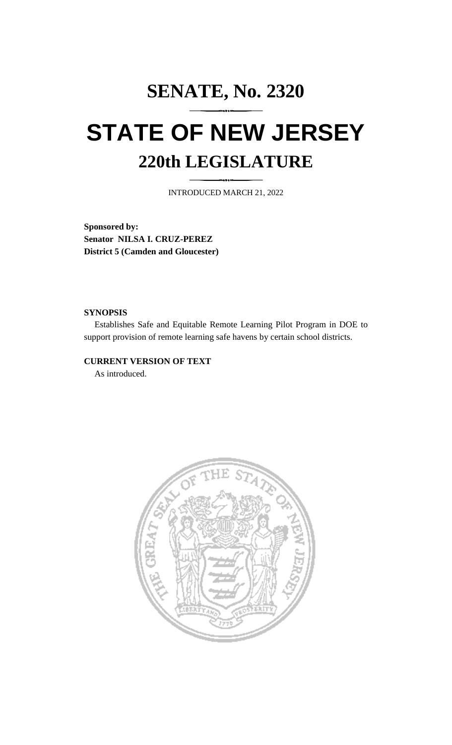## **SENATE, No. 2320 STATE OF NEW JERSEY 220th LEGISLATURE**

INTRODUCED MARCH 21, 2022

**Sponsored by: Senator NILSA I. CRUZ-PEREZ District 5 (Camden and Gloucester)**

## **SYNOPSIS**

Establishes Safe and Equitable Remote Learning Pilot Program in DOE to support provision of remote learning safe havens by certain school districts.

## **CURRENT VERSION OF TEXT**

As introduced.

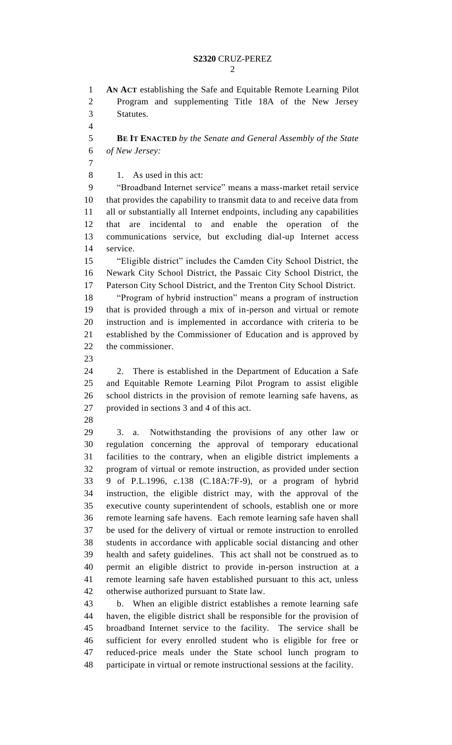## **S2320** CRUZ-PEREZ

 **AN ACT** establishing the Safe and Equitable Remote Learning Pilot Program and supplementing Title 18A of the New Jersey Statutes. **BE IT ENACTED** *by the Senate and General Assembly of the State of New Jersey:* 1. As used in this act: "Broadband Internet service" means a mass-market retail service that provides the capability to transmit data to and receive data from all or substantially all Internet endpoints, including any capabilities that are incidental to and enable the operation of the communications service, but excluding dial-up Internet access service. "Eligible district" includes the Camden City School District, the Newark City School District, the Passaic City School District, the Paterson City School District, and the Trenton City School District. "Program of hybrid instruction" means a program of instruction that is provided through a mix of in-person and virtual or remote instruction and is implemented in accordance with criteria to be established by the Commissioner of Education and is approved by the commissioner. 2. There is established in the Department of Education a Safe and Equitable Remote Learning Pilot Program to assist eligible school districts in the provision of remote learning safe havens, as provided in sections 3 and 4 of this act. 3. a. Notwithstanding the provisions of any other law or regulation concerning the approval of temporary educational facilities to the contrary, when an eligible district implements a program of virtual or remote instruction, as provided under section 9 of P.L.1996, c.138 (C.18A:7F-9), or a program of hybrid instruction, the eligible district may, with the approval of the executive county superintendent of schools, establish one or more remote learning safe havens. Each remote learning safe haven shall be used for the delivery of virtual or remote instruction to enrolled students in accordance with applicable social distancing and other health and safety guidelines. This act shall not be construed as to permit an eligible district to provide in-person instruction at a remote learning safe haven established pursuant to this act, unless otherwise authorized pursuant to State law. b. When an eligible district establishes a remote learning safe haven, the eligible district shall be responsible for the provision of broadband Internet service to the facility. The service shall be sufficient for every enrolled student who is eligible for free or reduced-price meals under the State school lunch program to participate in virtual or remote instructional sessions at the facility.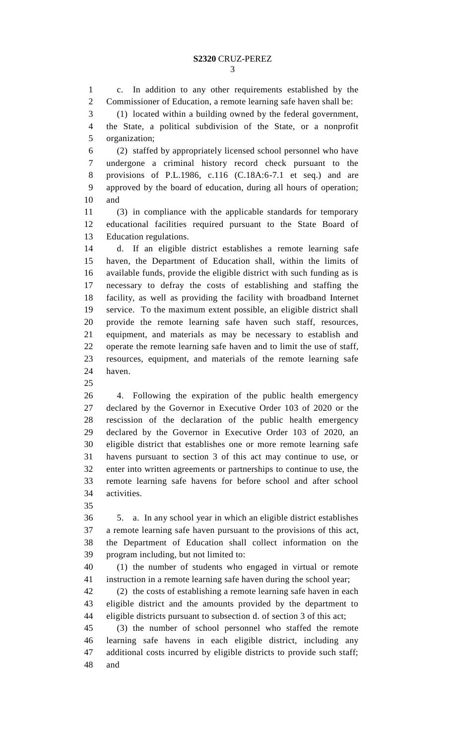c. In addition to any other requirements established by the Commissioner of Education, a remote learning safe haven shall be: (1) located within a building owned by the federal government, the State, a political subdivision of the State, or a nonprofit organization; (2) staffed by appropriately licensed school personnel who have undergone a criminal history record check pursuant to the provisions of P.L.1986, c.116 (C.18A:6-7.1 et seq.) and are approved by the board of education, during all hours of operation; and (3) in compliance with the applicable standards for temporary educational facilities required pursuant to the State Board of Education regulations. d. If an eligible district establishes a remote learning safe haven, the Department of Education shall, within the limits of available funds, provide the eligible district with such funding as is necessary to defray the costs of establishing and staffing the facility, as well as providing the facility with broadband Internet service. To the maximum extent possible, an eligible district shall provide the remote learning safe haven such staff, resources, equipment, and materials as may be necessary to establish and operate the remote learning safe haven and to limit the use of staff, resources, equipment, and materials of the remote learning safe haven. 4. Following the expiration of the public health emergency declared by the Governor in Executive Order 103 of 2020 or the rescission of the declaration of the public health emergency declared by the Governor in Executive Order 103 of 2020, an eligible district that establishes one or more remote learning safe havens pursuant to section 3 of this act may continue to use, or enter into written agreements or partnerships to continue to use, the remote learning safe havens for before school and after school activities. 5. a. In any school year in which an eligible district establishes a remote learning safe haven pursuant to the provisions of this act, the Department of Education shall collect information on the program including, but not limited to: (1) the number of students who engaged in virtual or remote instruction in a remote learning safe haven during the school year; (2) the costs of establishing a remote learning safe haven in each eligible district and the amounts provided by the department to eligible districts pursuant to subsection d. of section 3 of this act; (3) the number of school personnel who staffed the remote learning safe havens in each eligible district, including any additional costs incurred by eligible districts to provide such staff; and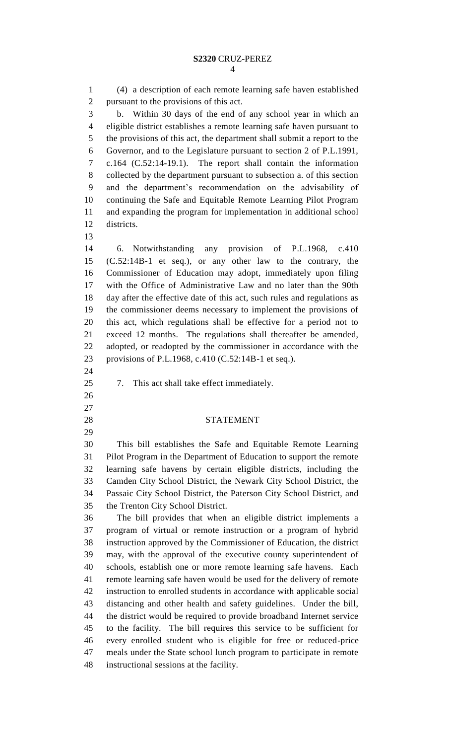(4) a description of each remote learning safe haven established pursuant to the provisions of this act. b. Within 30 days of the end of any school year in which an eligible district establishes a remote learning safe haven pursuant to the provisions of this act, the department shall submit a report to the Governor, and to the Legislature pursuant to section 2 of P.L.1991, c.164 (C.52:14-19.1). The report shall contain the information collected by the department pursuant to subsection a. of this section and the department's recommendation on the advisability of continuing the Safe and Equitable Remote Learning Pilot Program and expanding the program for implementation in additional school districts. 6. Notwithstanding any provision of P.L.1968, c.410 (C.52:14B-1 et seq.), or any other law to the contrary, the Commissioner of Education may adopt, immediately upon filing with the Office of Administrative Law and no later than the 90th day after the effective date of this act, such rules and regulations as the commissioner deems necessary to implement the provisions of this act, which regulations shall be effective for a period not to exceed 12 months. The regulations shall thereafter be amended, adopted, or readopted by the commissioner in accordance with the provisions of P.L.1968, c.410 (C.52:14B-1 et seq.). 7. This act shall take effect immediately. STATEMENT This bill establishes the Safe and Equitable Remote Learning Pilot Program in the Department of Education to support the remote learning safe havens by certain eligible districts, including the Camden City School District, the Newark City School District, the Passaic City School District, the Paterson City School District, and the Trenton City School District. The bill provides that when an eligible district implements a program of virtual or remote instruction or a program of hybrid instruction approved by the Commissioner of Education, the district may, with the approval of the executive county superintendent of schools, establish one or more remote learning safe havens. Each remote learning safe haven would be used for the delivery of remote instruction to enrolled students in accordance with applicable social distancing and other health and safety guidelines. Under the bill, the district would be required to provide broadband Internet service to the facility. The bill requires this service to be sufficient for every enrolled student who is eligible for free or reduced-price meals under the State school lunch program to participate in remote instructional sessions at the facility.